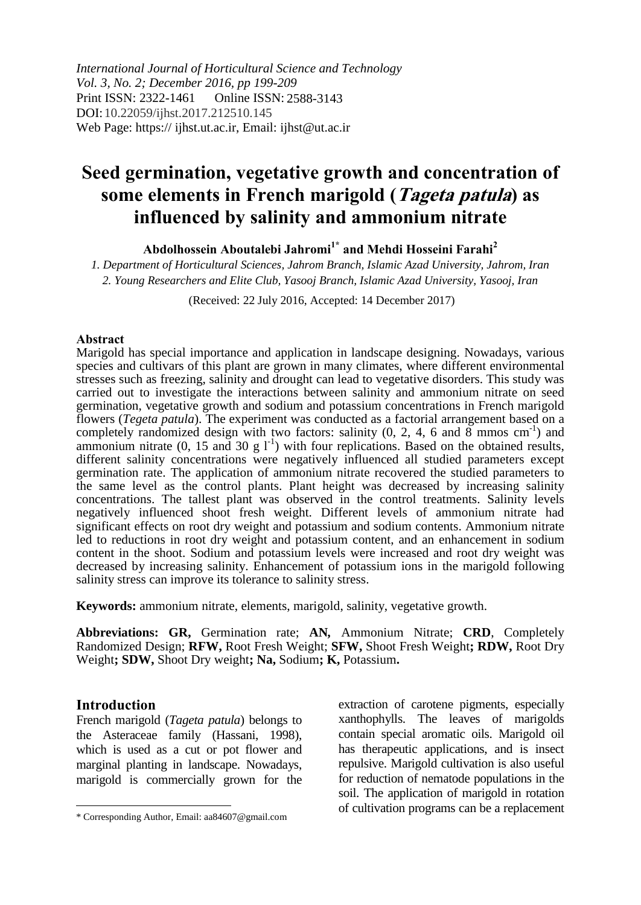*International Journal of Horticultural Science and Technology Vol. 3, No. 2; December 2016, pp 199-209* Print ISSN: 2322-1461 DOI: 10.22059/ijhst.2017.212510.145Web Page: https:// ijhst.ut.ac.ir, Email: ijhst@ut.ac.ir Online ISSN: 2588-3143

# **Seed germination, vegetative growth and concentration of some elements in French marigold (Tageta patula) as influenced by salinity and ammonium nitrate**

**Abdolhossein Aboutalebi Jahromi1\* and Mehdi Hosseini Farahi<sup>2</sup>**

*1. Department of Horticultural Sciences, Jahrom Branch, Islamic Azad University, Jahrom, Iran 2. Young Researchers and Elite Club, Yasooj Branch, Islamic Azad University, Yasooj, Iran* 

(Received: 22 July 2016, Accepted: 14 December 2017)

#### **Abstract**

Marigold has special importance and application in landscape designing. Nowadays, various species and cultivars of this plant are grown in many climates, where different environmental stresses such as freezing, salinity and drought can lead to vegetative disorders. This study was carried out to investigate the interactions between salinity and ammonium nitrate on seed germination, vegetative growth and sodium and potassium concentrations in French marigold flowers (*Tegeta patula*). The experiment was conducted as a factorial arrangement based on a completely randomized design with two factors: salinity (0, 2, 4, 6 and  $\overline{8}$  mmos cm<sup>-1</sup>) and ammonium nitrate  $(0, 15 \text{ and } 30 \text{ g } 1^{-1})$  with four replications. Based on the obtained results, different salinity concentrations were negatively influenced all studied parameters except germination rate. The application of ammonium nitrate recovered the studied parameters to the same level as the control plants. Plant height was decreased by increasing salinity concentrations. The tallest plant was observed in the control treatments. Salinity levels negatively influenced shoot fresh weight. Different levels of ammonium nitrate had significant effects on root dry weight and potassium and sodium contents. Ammonium nitrate led to reductions in root dry weight and potassium content, and an enhancement in sodium content in the shoot. Sodium and potassium levels were increased and root dry weight was decreased by increasing salinity. Enhancement of potassium ions in the marigold following salinity stress can improve its tolerance to salinity stress.

**Keywords:** ammonium nitrate, elements, marigold, salinity, vegetative growth.

**Abbreviations: GR,** Germination rate; **AN***,* Ammonium Nitrate; **CRD**, Completely Randomized Design; **RFW,** Root Fresh Weight; **SFW,** Shoot Fresh Weight**; RDW,** Root Dry Weight**; SDW,** Shoot Dry weight**; Na,** Sodium**; K,** Potassium**.**

## **Introduction**

 $\overline{\phantom{a}}$ 

French marigold (*Tageta patula*) belongs to the Asteraceae family (Hassani, 1998), which is used as a cut or pot flower and marginal planting in landscape. Nowadays, marigold is commercially grown for the extraction of carotene pigments, especially xanthophylls. The leaves of marigolds contain special aromatic oils. Marigold oil has therapeutic applications, and is insect repulsive. Marigold cultivation is also useful for reduction of nematode populations in the soil. The application of marigold in rotation of cultivation programs can be a replacement

<sup>\*</sup> Corresponding Author, Email: aa84607@gmail.com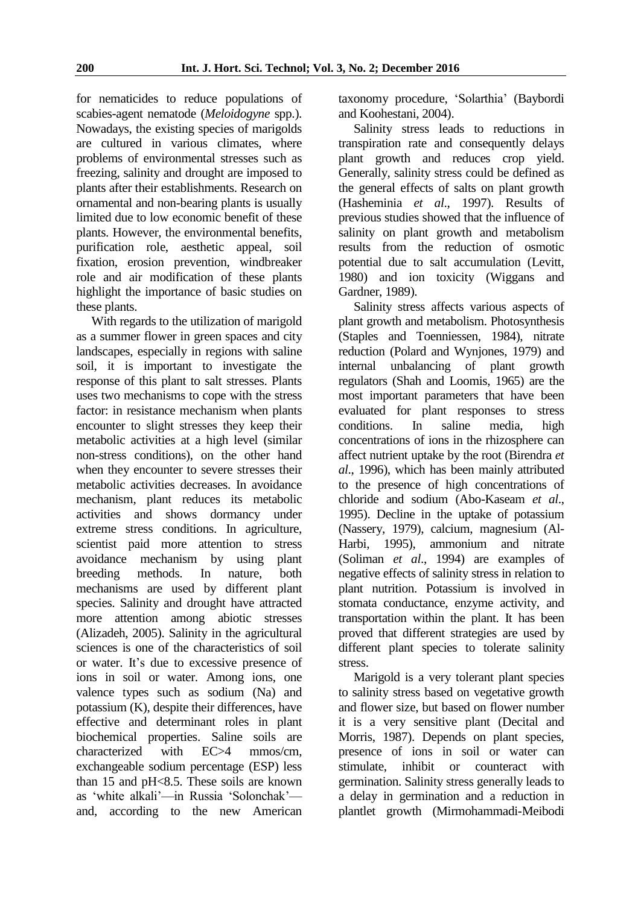for nematicides to reduce populations of scabies-agent nematode (*Meloidogyne* spp.). Nowadays, the existing species of marigolds are cultured in various climates, where problems of environmental stresses such as freezing, salinity and drought are imposed to plants after their establishments. Research on ornamental and non-bearing plants is usually limited due to low economic benefit of these plants. However, the environmental benefits, purification role, aesthetic appeal, soil fixation, erosion prevention, windbreaker role and air modification of these plants highlight the importance of basic studies on these plants.

With regards to the utilization of marigold as a summer flower in green spaces and city landscapes, especially in regions with saline soil, it is important to investigate the response of this plant to salt stresses. Plants uses two mechanisms to cope with the stress factor: in resistance mechanism when plants encounter to slight stresses they keep their metabolic activities at a high level (similar non-stress conditions), on the other hand when they encounter to severe stresses their metabolic activities decreases. In avoidance mechanism, plant reduces its metabolic activities and shows dormancy under extreme stress conditions. In agriculture, scientist paid more attention to stress avoidance mechanism by using plant breeding methods. In nature, both mechanisms are used by different plant species. Salinity and drought have attracted more attention among abiotic stresses (Alizadeh, 2005). Salinity in the agricultural sciences is one of the characteristics of soil or water. It's due to excessive presence of ions in soil or water. Among ions, one valence types such as sodium (Na) and potassium (K), despite their differences, have effective and determinant roles in plant biochemical properties. Saline soils are characterized with EC>4 mmos/cm, exchangeable sodium percentage (ESP) less than 15 and pH<8.5. These soils are known as 'white alkali'—in Russia 'Solonchak' and, according to the new American

taxonomy procedure, 'Solarthia' (Baybordi and Koohestani, 2004).

Salinity stress leads to reductions in transpiration rate and consequently delays plant growth and reduces crop yield. Generally, salinity stress could be defined as the general effects of salts on plant growth (Hasheminia *et al*., 1997). Results of previous studies showed that the influence of salinity on plant growth and metabolism results from the reduction of osmotic potential due to salt accumulation (Levitt, 1980) and ion toxicity (Wiggans and Gardner, 1989).

Salinity stress affects various aspects of plant growth and metabolism. Photosynthesis (Staples and Toenniessen, 1984), nitrate reduction (Polard and Wynjones, 1979) and internal unbalancing of plant growth regulators (Shah and Loomis, 1965) are the most important parameters that have been evaluated for plant responses to stress conditions. In saline media, high concentrations of ions in the rhizosphere can affect nutrient uptake by the root (Birendra *et al*., 1996), which has been mainly attributed to the presence of high concentrations of chloride and sodium (Abo-Kaseam *et al*., 1995). Decline in the uptake of potassium (Nassery, 1979), calcium, magnesium (Al-Harbi, 1995), ammonium and nitrate (Soliman *et al*., 1994) are examples of negative effects of salinity stress in relation to plant nutrition. Potassium is involved in stomata conductance, enzyme activity, and transportation within the plant. It has been proved that different strategies are used by different plant species to tolerate salinity stress.

Marigold is a very tolerant plant species to salinity stress based on vegetative growth and flower size, but based on flower number it is a very sensitive plant (Decital and Morris, 1987). Depends on plant species, presence of ions in soil or water can stimulate, inhibit or counteract with germination. Salinity stress generally leads to a delay in germination and a reduction in plantlet growth (Mirmohammadi-Meibodi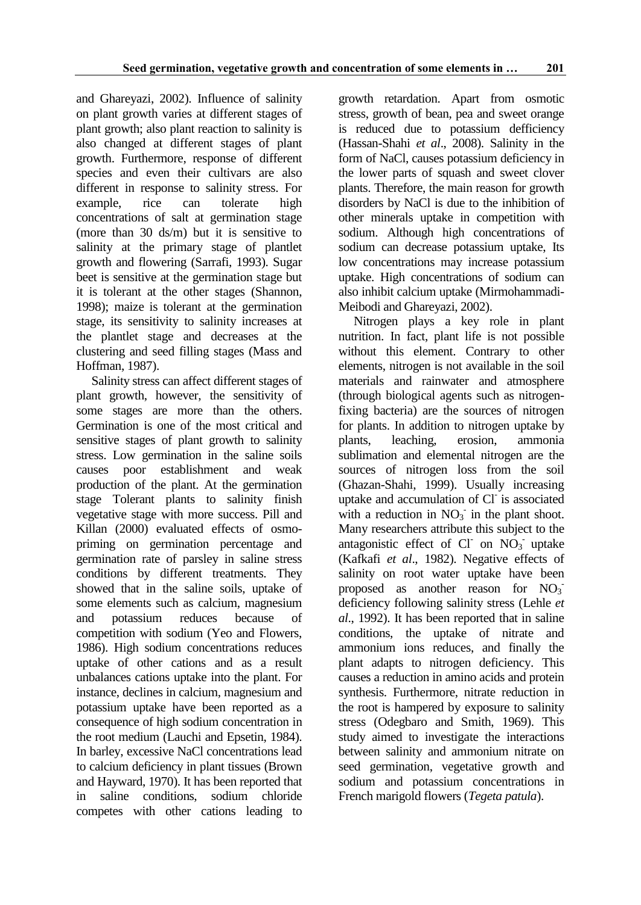and Ghareyazi, 2002). Influence of salinity on plant growth varies at different stages of plant growth; also plant reaction to salinity is also changed at different stages of plant growth. Furthermore, response of different species and even their cultivars are also different in response to salinity stress. For example, rice can tolerate high concentrations of salt at germination stage (more than 30 ds/m) but it is sensitive to salinity at the primary stage of plantlet growth and flowering (Sarrafi, 1993). Sugar beet is sensitive at the germination stage but it is tolerant at the other stages (Shannon, 1998); maize is tolerant at the germination stage, its sensitivity to salinity increases at the plantlet stage and decreases at the clustering and seed filling stages (Mass and Hoffman, 1987).

Salinity stress can affect different stages of plant growth, however, the sensitivity of some stages are more than the others. Germination is one of the most critical and sensitive stages of plant growth to salinity stress. Low germination in the saline soils causes poor establishment and weak production of the plant. At the germination stage Tolerant plants to salinity finish vegetative stage with more success. Pill and Killan (2000) evaluated effects of osmopriming on germination percentage and germination rate of parsley in saline stress conditions by different treatments. They showed that in the saline soils, uptake of some elements such as calcium, magnesium and potassium reduces because of competition with sodium (Yeo and Flowers, 1986). High sodium concentrations reduces uptake of other cations and as a result unbalances cations uptake into the plant. For instance, declines in calcium, magnesium and potassium uptake have been reported as a consequence of high sodium concentration in the root medium (Lauchi and Epsetin, 1984). In barley, excessive NaCl concentrations lead to calcium deficiency in plant tissues (Brown and Hayward, 1970). It has been reported that in saline conditions, sodium chloride competes with other cations leading to

growth retardation. Apart from osmotic stress, growth of bean, pea and sweet orange is reduced due to potassium defficiency (Hassan-Shahi *et al*., 2008). Salinity in the form of NaCl, causes potassium deficiency in the lower parts of squash and sweet clover plants. Therefore, the main reason for growth disorders by NaCl is due to the inhibition of other minerals uptake in competition with sodium. Although high concentrations of sodium can decrease potassium uptake, Its low concentrations may increase potassium uptake. High concentrations of sodium can also inhibit calcium uptake (Mirmohammadi-Meibodi and Ghareyazi, 2002).

Nitrogen plays a key role in plant nutrition. In fact, plant life is not possible without this element. Contrary to other elements, nitrogen is not available in the soil materials and rainwater and atmosphere (through biological agents such as nitrogenfixing bacteria) are the sources of nitrogen for plants. In addition to nitrogen uptake by plants, leaching, erosion, ammonia sublimation and elemental nitrogen are the sources of nitrogen loss from the soil (Ghazan-Shahi, 1999). Usually increasing uptake and accumulation of Cl is associated with a reduction in  $NO_3^-$  in the plant shoot. Many researchers attribute this subject to the antagonistic effect of Cl on  $NO<sub>3</sub>$  uptake (Kafkafi *et al*., 1982). Negative effects of salinity on root water uptake have been proposed as another reason for NO<sub>3</sub> deficiency following salinity stress (Lehle *et al*., 1992). It has been reported that in saline conditions, the uptake of nitrate and ammonium ions reduces, and finally the plant adapts to nitrogen deficiency. This causes a reduction in amino acids and protein synthesis. Furthermore, nitrate reduction in the root is hampered by exposure to salinity stress (Odegbaro and Smith, 1969). This study aimed to investigate the interactions between salinity and ammonium nitrate on seed germination, vegetative growth and sodium and potassium concentrations in French marigold flowers (*Tegeta patula*).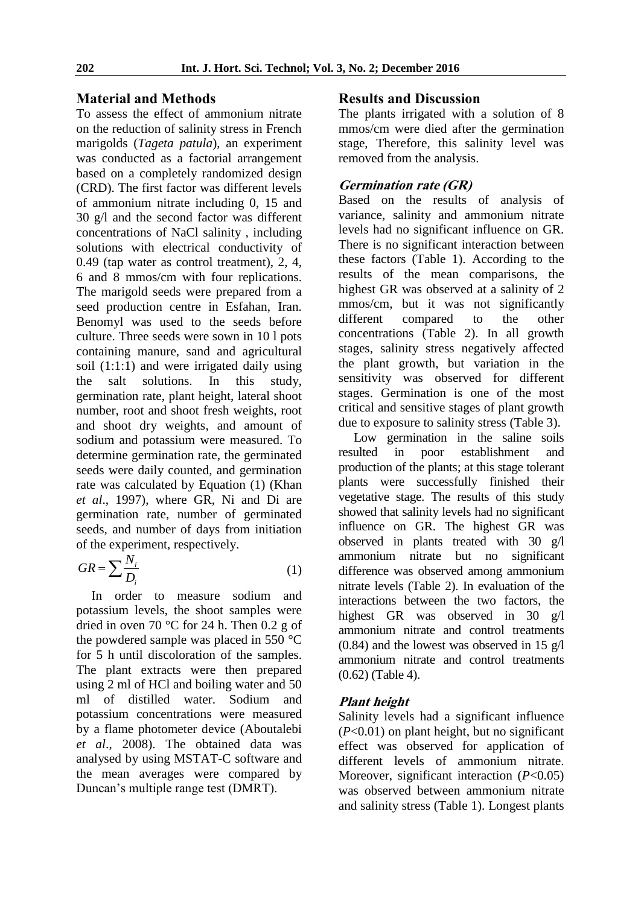## **Material and Methods**

To assess the effect of ammonium nitrate on the reduction of salinity stress in French marigolds (*Tageta patula*), an experiment was conducted as a factorial arrangement based on a completely randomized design (CRD). The first factor was different levels of ammonium nitrate including 0, 15 and 30 g/l and the second factor was different concentrations of NaCl salinity , including solutions with electrical conductivity of 0.49 (tap water as control treatment), 2, 4, 6 and 8 mmos/cm with four replications. The marigold seeds were prepared from a seed production centre in Esfahan, Iran. Benomyl was used to the seeds before culture. Three seeds were sown in 10 l pots containing manure, sand and agricultural soil (1:1:1) and were irrigated daily using the salt solutions. In this study, germination rate, plant height, lateral shoot number, root and shoot fresh weights, root and shoot dry weights, and amount of sodium and potassium were measured. To determine germination rate, the germinated seeds were daily counted, and germination rate was calculated by Equation (1) (Khan *et al*., 1997), where GR, Ni and Di are germination rate, number of germinated seeds, and number of days from initiation of the experiment, respectively.

$$
GR = \sum \frac{N_i}{D_i} \tag{1}
$$

In order to measure sodium and potassium levels, the shoot samples were dried in oven 70 °C for 24 h. Then 0.2 g of the powdered sample was placed in 550 °C for 5 h until discoloration of the samples. The plant extracts were then prepared using 2 ml of HCl and boiling water and 50 ml of distilled water. Sodium and potassium concentrations were measured by a flame photometer device (Aboutalebi *et al*., 2008). The obtained data was analysed by using MSTAT-C software and the mean averages were compared by Duncan's multiple range test (DMRT).

## **Results and Discussion**

The plants irrigated with a solution of 8 mmos/cm were died after the germination stage, Therefore, this salinity level was removed from the analysis.

#### **Germination rate (GR)**

Based on the results of analysis of variance, salinity and ammonium nitrate levels had no significant influence on GR. There is no significant interaction between these factors (Table 1). According to the results of the mean comparisons, the highest GR was observed at a salinity of 2 mmos/cm, but it was not significantly different compared to the other concentrations (Table 2). In all growth stages, salinity stress negatively affected the plant growth, but variation in the sensitivity was observed for different stages. Germination is one of the most critical and sensitive stages of plant growth due to exposure to salinity stress (Table 3).

Low germination in the saline soils resulted in poor establishment and production of the plants; at this stage tolerant plants were successfully finished their vegetative stage. The results of this study showed that salinity levels had no significant influence on GR. The highest GR was observed in plants treated with 30 g/l ammonium nitrate but no significant difference was observed among ammonium nitrate levels (Table 2). In evaluation of the interactions between the two factors, the highest GR was observed in 30 g/l ammonium nitrate and control treatments  $(0.84)$  and the lowest was observed in 15 g/l ammonium nitrate and control treatments (0.62) (Table 4).

#### **Plant height**

Salinity levels had a significant influence (*P*<0.01) on plant height, but no significant effect was observed for application of different levels of ammonium nitrate. Moreover, significant interaction (*P*<0.05) was observed between ammonium nitrate and salinity stress (Table 1). Longest plants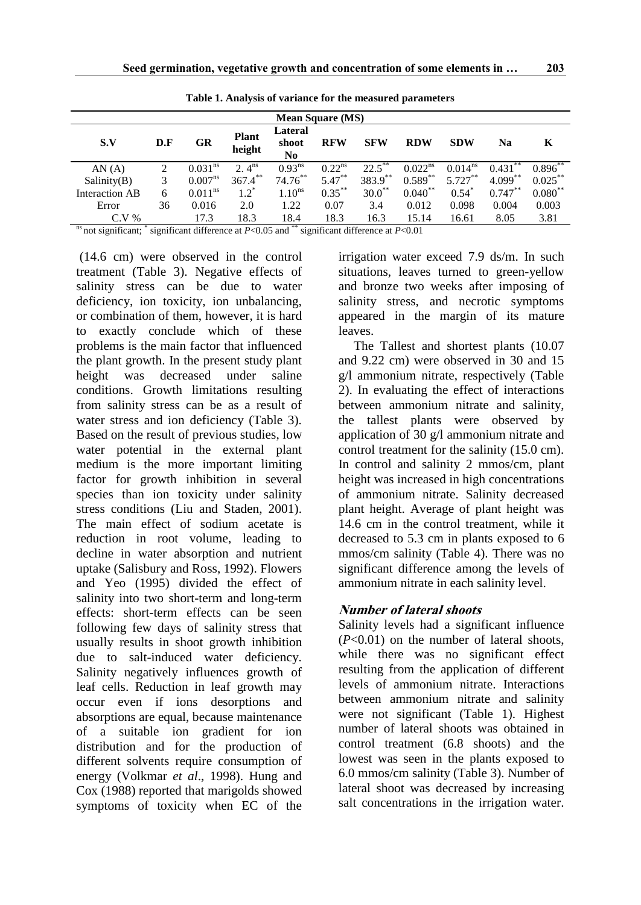| <b>Mean Square (MS)</b> |     |                       |                        |                                    |             |             |                     |              |            |            |
|-------------------------|-----|-----------------------|------------------------|------------------------------------|-------------|-------------|---------------------|--------------|------------|------------|
| S.V                     | D.F | GR                    | <b>Plant</b><br>height | Lateral<br>shoot<br>N <sub>0</sub> | <b>RFW</b>  | <b>SFW</b>  | <b>RDW</b>          | <b>SDW</b>   | Na         | K          |
| AN(A)                   | 2   | 0.031 <sup>ns</sup>   | 2. $4^{\text{ns}}$     | $0.93^{ns}$                        | $0.22^{ns}$ | 22.5        | 0.022 <sup>ns</sup> | $0.014^{ns}$ | 0.431      | $0.896***$ |
| Salinity(B)             | 3   | $0.007^{ns}$          | $367.4***$             | $74.76***$                         | $5.47***$   | 383.9**     | $0.589**$           | $5.727***$   | $4.099***$ | $0.025***$ |
| Interaction AB          | 6   | $0.011$ <sup>ns</sup> | $1.2^*$                | 1.10 <sup>ns</sup>                 | $0.35***$   | $30.0^{**}$ | $0.040**$           | $0.54*$      | $0.747***$ | $0.080**$  |
| Error                   | 36  | 0.016                 | 2.0                    | 1.22                               | 0.07        | 3.4         | 0.012               | 0.098        | 0.004      | 0.003      |
| $C.V.$ %                |     | 17.3                  | 18.3                   | 18.4                               | 18.3        | 16.3        | 15.14               | 16.61        | 8.05       | 3.81       |

**Table 1. Analysis of variance for the measured parameters**

<sup>ns</sup> not significant; \* significant difference at *P*<0.05 and \*\* significant difference at *P*<0.01

(14.6 cm) were observed in the control treatment (Table 3). Negative effects of salinity stress can be due to water deficiency, ion toxicity, ion unbalancing, or combination of them, however, it is hard to exactly conclude which of these problems is the main factor that influenced the plant growth. In the present study plant height was decreased under saline conditions. Growth limitations resulting from salinity stress can be as a result of water stress and ion deficiency (Table 3). Based on the result of previous studies, low water potential in the external plant medium is the more important limiting factor for growth inhibition in several species than ion toxicity under salinity stress conditions (Liu and Staden, 2001). The main effect of sodium acetate is reduction in root volume, leading to decline in water absorption and nutrient uptake (Salisbury and Ross, 1992). Flowers and Yeo (1995) divided the effect of salinity into two short-term and long-term effects: short-term effects can be seen following few days of salinity stress that usually results in shoot growth inhibition due to salt-induced water deficiency. Salinity negatively influences growth of leaf cells. Reduction in leaf growth may occur even if ions desorptions and absorptions are equal, because maintenance of a suitable ion gradient for ion distribution and for the production of different solvents require consumption of energy (Volkmar *et al*., 1998). Hung and Cox (1988) reported that marigolds showed symptoms of toxicity when EC of the

irrigation water exceed 7.9 ds/m. In such situations, leaves turned to green-yellow and bronze two weeks after imposing of salinity stress, and necrotic symptoms appeared in the margin of its mature leaves.

The Tallest and shortest plants (10.07 and 9.22 cm) were observed in 30 and 15 g/l ammonium nitrate, respectively (Table 2). In evaluating the effect of interactions between ammonium nitrate and salinity, the tallest plants were observed by application of 30 g/l ammonium nitrate and control treatment for the salinity (15.0 cm). In control and salinity 2 mmos/cm, plant height was increased in high concentrations of ammonium nitrate. Salinity decreased plant height. Average of plant height was 14.6 cm in the control treatment, while it decreased to 5.3 cm in plants exposed to 6 mmos/cm salinity (Table 4). There was no significant difference among the levels of ammonium nitrate in each salinity level.

#### **Number of lateral shoots**

Salinity levels had a significant influence (*P*<0.01) on the number of lateral shoots, while there was no significant effect resulting from the application of different levels of ammonium nitrate. Interactions between ammonium nitrate and salinity were not significant (Table 1). Highest number of lateral shoots was obtained in control treatment (6.8 shoots) and the lowest was seen in the plants exposed to 6.0 mmos/cm salinity (Table 3). Number of lateral shoot was decreased by increasing salt concentrations in the irrigation water.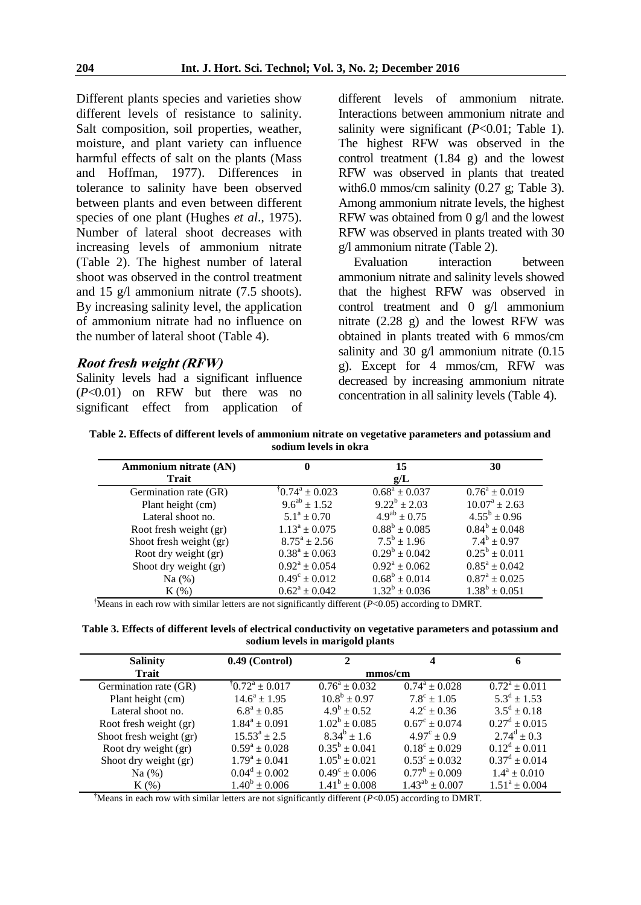Different plants species and varieties show different levels of resistance to salinity. Salt composition, soil properties, weather, moisture, and plant variety can influence harmful effects of salt on the plants (Mass and Hoffman, 1977). Differences in tolerance to salinity have been observed between plants and even between different species of one plant (Hughes *et al*., 1975). Number of lateral shoot decreases with increasing levels of ammonium nitrate (Table 2). The highest number of lateral shoot was observed in the control treatment and 15 g/l ammonium nitrate (7.5 shoots). By increasing salinity level, the application of ammonium nitrate had no influence on the number of lateral shoot (Table 4).

#### **Root fresh weight (RFW)**

Salinity levels had a significant influence (*P*<0.01) on RFW but there was no significant effect from application of different levels of ammonium nitrate. Interactions between ammonium nitrate and salinity were significant (*P*<0.01; Table 1). The highest RFW was observed in the control treatment (1.84 g) and the lowest RFW was observed in plants that treated with 6.0 mmos/cm salinity (0.27 g; Table 3). Among ammonium nitrate levels, the highest RFW was obtained from 0 g/l and the lowest RFW was observed in plants treated with 30 g/l ammonium nitrate (Table 2).

Evaluation interaction between ammonium nitrate and salinity levels showed that the highest RFW was observed in control treatment and 0 g/l ammonium nitrate (2.28 g) and the lowest RFW was obtained in plants treated with 6 mmos/cm salinity and 30 g/l ammonium nitrate  $(0.15)$ g). Except for 4 mmos/cm, RFW was decreased by increasing ammonium nitrate concentration in all salinity levels (Table 4).

**Table 2. Effects of different levels of ammonium nitrate on vegetative parameters and potassium and sodium levels in okra** 

| Ammonium nitrate (AN)   |                           | 15                  | 30                       |
|-------------------------|---------------------------|---------------------|--------------------------|
| Trait                   |                           | g/L                 |                          |
| Germination rate (GR)   | $\sqrt{0.74^a} \pm 0.023$ | $0.68^a \pm 0.037$  | $0.76^a \pm 0.019$       |
| Plant height (cm)       | $9.6^{ab} \pm 1.52$       | $9.22^b \pm 2.03$   | $10.07^{\rm a} \pm 2.63$ |
| Lateral shoot no.       | $5.1^a \pm 0.70$          | $4.9^{ab} \pm 0.75$ | $4.55^b \pm 0.96$        |
| Root fresh weight (gr)  | $1.13^a \pm 0.075$        | $0.88^b \pm 0.085$  | $0.84^b \pm 0.048$       |
| Shoot fresh weight (gr) | $8.75^{\rm a} \pm 2.56$   | $7.5^b \pm 1.96$    | $7.4^b \pm 0.97$         |
| Root dry weight (gr)    | $0.38^a \pm 0.063$        | $0.29^b \pm 0.042$  | $0.25^b \pm 0.011$       |
| Shoot dry weight (gr)   | $0.92^a \pm 0.054$        | $0.92^a \pm 0.062$  | $0.85^a \pm 0.042$       |
| Na $(%)$                | $0.49^c \pm 0.012$        | $0.68^b \pm 0.014$  | $0.87^a \pm 0.025$       |
| $K(\%)$                 | $0.62^a \pm 0.042$        | $1.32^b \pm 0.036$  | $1.38^b \pm 0.051$       |

**†**Means in each row with similar letters are not significantly different (*P*<0.05) according to DMRT.

**Table 3. Effects of different levels of electrical conductivity on vegetative parameters and potassium and sodium levels in marigold plants** 

| <b>Salinity</b>         | $0.49$ (Control)         | 2                        | 4                        | 6                  |  |  |  |  |
|-------------------------|--------------------------|--------------------------|--------------------------|--------------------|--|--|--|--|
| <b>Trait</b>            | mmos/cm                  |                          |                          |                    |  |  |  |  |
| Germination rate (GR)   | $10.72^a \pm 0.017$      | $0.76^a \pm 0.032$       | $0.74^a \pm 0.028$       | $0.72^a \pm 0.011$ |  |  |  |  |
| Plant height (cm)       | $14.6^a \pm 1.95$        | $10.8^b \pm 0.97$        | $7.8^{\circ} + 1.05$     | $5.3^d \pm 1.53$   |  |  |  |  |
| Lateral shoot no.       | $6.8^a \pm 0.85$         | $4.9^{\rm b} \pm 0.52$   | $4.2^{\circ} \pm 0.36$   | $3.5^d \pm 0.18$   |  |  |  |  |
| Root fresh weight (gr)  | $1.84^a \pm 0.091$       | $1.02^b \pm 0.085$       | $0.67^{\circ} \pm 0.074$ | $0.27^d \pm 0.015$ |  |  |  |  |
| Shoot fresh weight (gr) | $15.53^a \pm 2.5$        | $8.34^b \pm 1.6$         | $4.97^{\circ} \pm 0.9$   | $2.74^d \pm 0.3$   |  |  |  |  |
| Root dry weight (gr)    | $0.59^a \pm 0.028$       | $0.35^b \pm 0.041$       | $0.18^{\circ} \pm 0.029$ | $0.12^d \pm 0.011$ |  |  |  |  |
| Shoot dry weight (gr)   | $1.79^a \pm 0.041$       | $1.05^b \pm 0.021$       | $0.53^{\circ} \pm 0.032$ | $0.37^d \pm 0.014$ |  |  |  |  |
| Na $(%)$                | $0.04^d \pm 0.002$       | $0.49^{\circ} \pm 0.006$ | $0.77^b \pm 0.009$       | $1.4^a \pm 0.010$  |  |  |  |  |
| $K(\%)$                 | $1.40^{\circ} \pm 0.006$ | $1.41^b \pm 0.008$       | $1.43^{ab} \pm 0.007$    | $1.51^a \pm 0.004$ |  |  |  |  |

**†**Means in each row with similar letters are not significantly different (*P*<0.05) according to DMRT.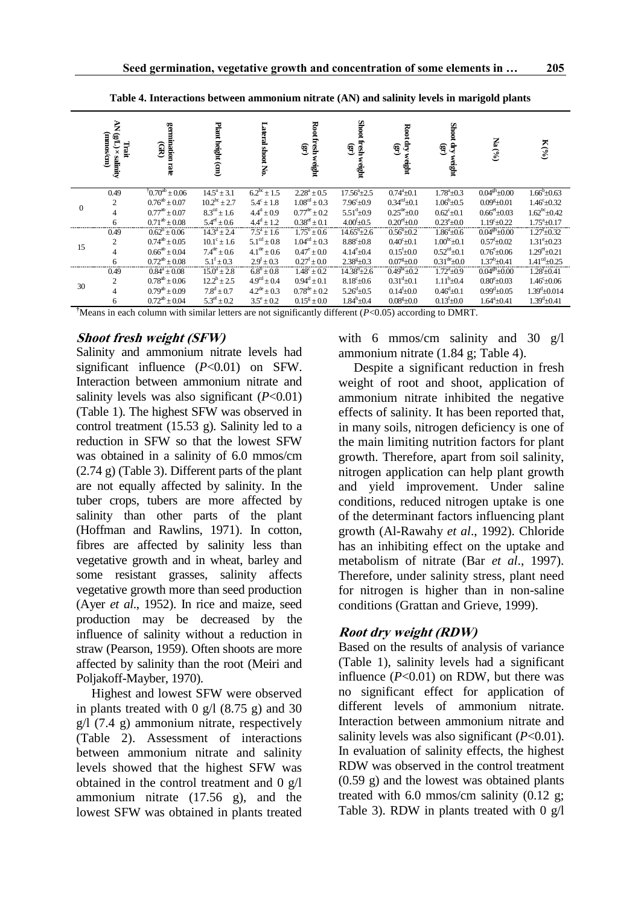|                | AN (gL) × Glinity<br>(mnos/cm)<br>Trait | germination rate<br>GR | Plant height (cm)         | Lateral shoot No.         | Root fresh weight<br>E     | Shoot fresh<br>$\textbf{G}$<br>weight | Root dry weight $(gr)$     | Shoot dry v<br>Shoot dry<br>weight | $\mathrm{Na}$ (%)          | $\mathbf{K}\left( ^{0\!}/\!\!{\rm O}\right)$ |
|----------------|-----------------------------------------|------------------------|---------------------------|---------------------------|----------------------------|---------------------------------------|----------------------------|------------------------------------|----------------------------|----------------------------------------------|
| $\overline{0}$ | 0.49                                    | $10.70^{ab} \pm 0.06$  | $14.5^a \pm 3.1$          | $6.2^{bc}$ ± 1.5          | $2.28^a \pm 0.5$           | $17.56^{\circ}$ ± 2.5                 | $0.74^a \pm 0.1$           | $1.78^{\rm a}$ ±0.3                | $0.04$ <sup>gh</sup> ±0.00 | $1.66^{\rm b}$ ±0.63                         |
|                | $\overline{2}$                          | $0.76^{ab} \pm 0.07$   | $10.2^{bc} \pm 2.7$       | $5.4^c \pm 1.8$           | $1.08^{\text{cd}} \pm 0.3$ | $7.96^{\circ}$ $\pm 0.9$              | $0.34^{\text{cd}}\pm 0.1$  | $1.06^{\rm b}$ ± 0.5               | $0.09^{\text{g}}+0.01$     | $1.46^{\circ} \pm 0.32$                      |
|                | 4                                       | $0.77^{ab} \pm 0.07$   | $8.3^{\text{cd}} \pm 1.6$ | $4.4^d \pm 0.9$           | $0.77^{\text{de}} \pm 0.2$ | $5.51^{\text{d}} \pm 0.9$             | $0.25^{\text{de}} \pm 0.0$ | $0.62^{\circ}$ ±0.1                | $0.66^{\rm ef}$ ±0.03      | $1.62^{\rm bc}$ ±0.42                        |
|                | 6                                       | $0.71^{ab} \pm 0.08$   | $5.4^{\text{ef}} \pm 0.6$ | $4.4^d \pm 1.2$           | $0.38^{\text{ef}} \pm 0.1$ | $4.00^{f}_{\pm}0.5$                   | $0.20^{\text{ef}} \pm 0.0$ | $0.23^{\rm e}{\pm}0.0$             | $1.19^{\rm c} + 0.22$      | $1.75^a \pm 0.17$                            |
| 15             | 0.49                                    | $0.62^b \pm 0.06$      | $14.3^a \pm 2.4$          | $7.5^a \pm 1.6$           | $1.75^b \pm 0.6$           | $14.65^b + 2.6$                       | $0.56^{\rm b}$ + 0.2       | $1.86^a \pm 0.6$                   | $0.04gh + 0.00$            | $1.27^{\rm f}_{\pm}0.32$                     |
|                | $\overline{2}$                          | $0.74^{ab} \pm 0.05$   | $10.1^{\circ} \pm 1.6$    | $5.1^{\text{cd}} \pm 0.8$ | $1.04^{\text{cd}} \pm 0.3$ | $8.88^{\circ}$ ± 0.8                  | $0.40^{\circ}$ ± 0.1       | $1.00^{bc}$ ±0.1                   | $0.57^{f}$ ± 0.02          | $1.31^{\rm e}$ ±0.23                         |
|                | $\overline{4}$                          | $0.66^{ab} \pm 0.04$   | $7.4^{\rm{de}} \pm 0.6$   | $4.1^{\rm de} \pm 0.6$    | $0.47^e \pm 0.0$           | $4.14^e$ ±0.4                         | $0.15^{f}$ ±0.0            | $0.52^{\text{cd}} \pm 0.1$         | $0.76^{\rm e}{\pm}0.06$    | $1.29^{\text{ef}} \pm 0.21$                  |
|                | 6                                       | $0.72^{ab} \pm 0.08$   | $5.1^f \pm 0.3$           | $2.9^f \pm 0.3$           | $0.27^{\rm f} \pm 0.0$     | $2.38^{\text{g}}\pm 0.3$              | $0.07^{\rm g}$ + 0.0       | $0.31^{\text{de}} \pm 0.0$         | $1.37^b \pm 0.41$          | $1.41^{\text{cd}}$ +0.25                     |
| 30             | 0.49                                    | $0.84^a \pm 0.08$      | $15.0^a \pm 2.8$          | $6.8^{b} \pm 0.8$         | $1.48^{\circ} \pm 0.2$     | $14.38^{b} \pm 2.6$                   | $0.49^{bc}$ + 0.2          | $1.72^{\circ}$ +0.9                | $0.04gh + 0.00$            | $1.28^{f}$ + 0.41                            |
|                | $\overline{2}$                          | $0.78^{ab} \pm 0.06$   | $12.2^b \pm 2.5$          | $4.9^{\text{cd}} \pm 0.4$ | $0.94^d \pm 0.1$           | $8.18^{\circ}$ ±0.6                   | $0.31^{d}$ ±0.1            | $1.11^b \pm 0.4$                   | $0.80^{\circ} + 0.03$      | $1.46^{\circ}$ ±0.06                         |
|                | $\overline{4}$                          | $0.79^{ab} + 0.09$     | $7.8^d \pm 0.7$           | $4.2^{\rm de} \pm 0.3$    | $0.78^{\text{de}} + 0.2$   | $5.26^{d}$ ±0.5                       | $0.14^{f} + 0.0$           | $0.46^{\rm d}$ ± 0.1               | $0.99^{d} + 0.05$          | $1.39^{\rm d}$ ±0.014                        |
|                | 6                                       | $0.72^{ab} \pm 0.04$   | $5.3^{\text{ef}} \pm 0.2$ | $3.5^{\circ} \pm 0.2$     | $0.15^g \pm 0.0$           | $1.84^h$ ±0.4                         | $0.08g + 0.0$              | $0.13^{f}_{0pm}0.0$                | $1.64^a + 0.41$            | $1.39^{\rm d}$ ±0.41                         |

**Table 4. Interactions between ammonium nitrate (AN) and salinity levels in marigold plants**

**†**Means in each column with similar letters are not significantly different (*P*<0.05) according to DMRT.

#### **Shoot fresh weight (SFW)**

Salinity and ammonium nitrate levels had significant influence (*P*<0.01) on SFW. Interaction between ammonium nitrate and salinity levels was also significant (*P*<0.01) (Table 1). The highest SFW was observed in control treatment (15.53 g). Salinity led to a reduction in SFW so that the lowest SFW was obtained in a salinity of 6.0 mmos/cm (2.74 g) (Table 3). Different parts of the plant are not equally affected by salinity. In the tuber crops, tubers are more affected by salinity than other parts of the plant (Hoffman and Rawlins, 1971). In cotton, fibres are affected by salinity less than vegetative growth and in wheat, barley and some resistant grasses, salinity affects vegetative growth more than seed production (Ayer *et al*., 1952). In rice and maize, seed production may be decreased by the influence of salinity without a reduction in straw (Pearson, 1959). Often shoots are more affected by salinity than the root (Meiri and Poljakoff-Mayber, 1970).

Highest and lowest SFW were observed in plants treated with  $\frac{0 \text{ g}}{1 (8.75 \text{ g})}$  and 30  $g/1$  (7.4 g) ammonium nitrate, respectively (Table 2). Assessment of interactions between ammonium nitrate and salinity levels showed that the highest SFW was obtained in the control treatment and 0 g/l ammonium nitrate (17.56 g), and the lowest SFW was obtained in plants treated with 6 mmos/cm salinity and 30 g/l ammonium nitrate (1.84 g; Table 4).

Despite a significant reduction in fresh weight of root and shoot, application of ammonium nitrate inhibited the negative effects of salinity. It has been reported that, in many soils, nitrogen deficiency is one of the main limiting nutrition factors for plant growth. Therefore, apart from soil salinity, nitrogen application can help plant growth and yield improvement. Under saline conditions, reduced nitrogen uptake is one of the determinant factors influencing plant growth (Al-Rawahy *et al*., 1992). Chloride has an inhibiting effect on the uptake and metabolism of nitrate (Bar *et al*., 1997). Therefore, under salinity stress, plant need for nitrogen is higher than in non-saline conditions (Grattan and Grieve, 1999).

#### **Root dry weight (RDW)**

Based on the results of analysis of variance (Table 1), salinity levels had a significant influence  $(P<0.01)$  on RDW, but there was no significant effect for application of different levels of ammonium nitrate. Interaction between ammonium nitrate and salinity levels was also significant (*P*<0.01). In evaluation of salinity effects, the highest RDW was observed in the control treatment (0.59 g) and the lowest was obtained plants treated with 6.0 mmos/cm salinity (0.12 g; Table 3). RDW in plants treated with  $0 \text{ g}/1$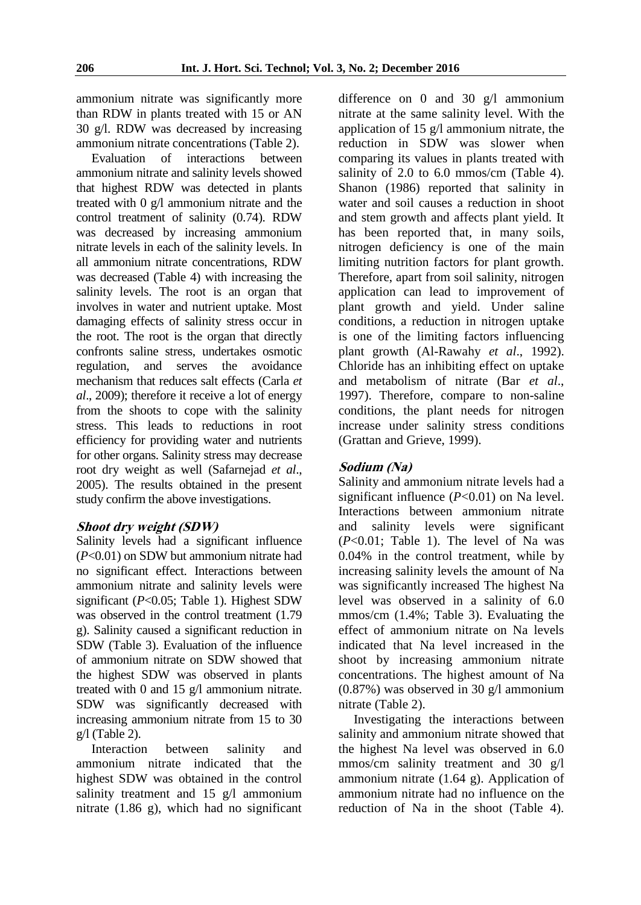ammonium nitrate was significantly more than RDW in plants treated with 15 or AN 30 g/l. RDW was decreased by increasing ammonium nitrate concentrations (Table 2).

Evaluation of interactions between ammonium nitrate and salinity levels showed that highest RDW was detected in plants treated with 0 g/l ammonium nitrate and the control treatment of salinity (0.74). RDW was decreased by increasing ammonium nitrate levels in each of the salinity levels. In all ammonium nitrate concentrations, RDW was decreased (Table 4) with increasing the salinity levels. The root is an organ that involves in water and nutrient uptake. Most damaging effects of salinity stress occur in the root. The root is the organ that directly confronts saline stress, undertakes osmotic regulation, and serves the avoidance mechanism that reduces salt effects (Carla *et al*., 2009); therefore it receive a lot of energy from the shoots to cope with the salinity stress. This leads to reductions in root efficiency for providing water and nutrients for other organs. Salinity stress may decrease root dry weight as well (Safarnejad *et al*., 2005). The results obtained in the present study confirm the above investigations.

#### **Shoot dry weight (SDW)**

Salinity levels had a significant influence (*P*<0.01) on SDW but ammonium nitrate had no significant effect. Interactions between ammonium nitrate and salinity levels were significant (*P*<0.05; Table 1). Highest SDW was observed in the control treatment  $(1.79)$ g). Salinity caused a significant reduction in SDW (Table 3). Evaluation of the influence of ammonium nitrate on SDW showed that the highest SDW was observed in plants treated with 0 and 15 g/l ammonium nitrate. SDW was significantly decreased with increasing ammonium nitrate from 15 to 30  $g/l$  (Table 2).

Interaction between salinity and ammonium nitrate indicated that the highest SDW was obtained in the control salinity treatment and 15 g/l ammonium nitrate (1.86 g), which had no significant difference on 0 and 30 g/l ammonium nitrate at the same salinity level. With the application of 15 g/l ammonium nitrate, the reduction in SDW was slower when comparing its values in plants treated with salinity of 2.0 to 6.0 mmos/cm (Table 4). Shanon (1986) reported that salinity in water and soil causes a reduction in shoot and stem growth and affects plant yield. It has been reported that, in many soils, nitrogen deficiency is one of the main limiting nutrition factors for plant growth. Therefore, apart from soil salinity, nitrogen application can lead to improvement of plant growth and yield. Under saline conditions, a reduction in nitrogen uptake is one of the limiting factors influencing plant growth (Al-Rawahy *et al*., 1992). Chloride has an inhibiting effect on uptake and metabolism of nitrate (Bar *et al*., 1997). Therefore, compare to non-saline conditions, the plant needs for nitrogen increase under salinity stress conditions (Grattan and Grieve, 1999).

#### **Sodium (Na)**

Salinity and ammonium nitrate levels had a significant influence (*P*<0.01) on Na level. Interactions between ammonium nitrate and salinity levels were significant (*P*<0.01; Table 1). The level of Na was 0.04% in the control treatment, while by increasing salinity levels the amount of Na was significantly increased The highest Na level was observed in a salinity of 6.0 mmos/cm (1.4%; Table 3). Evaluating the effect of ammonium nitrate on Na levels indicated that Na level increased in the shoot by increasing ammonium nitrate concentrations. The highest amount of Na (0.87%) was observed in 30 g/l ammonium nitrate (Table 2).

Investigating the interactions between salinity and ammonium nitrate showed that the highest Na level was observed in 6.0 mmos/cm salinity treatment and 30 g/l ammonium nitrate (1.64 g). Application of ammonium nitrate had no influence on the reduction of Na in the shoot (Table 4).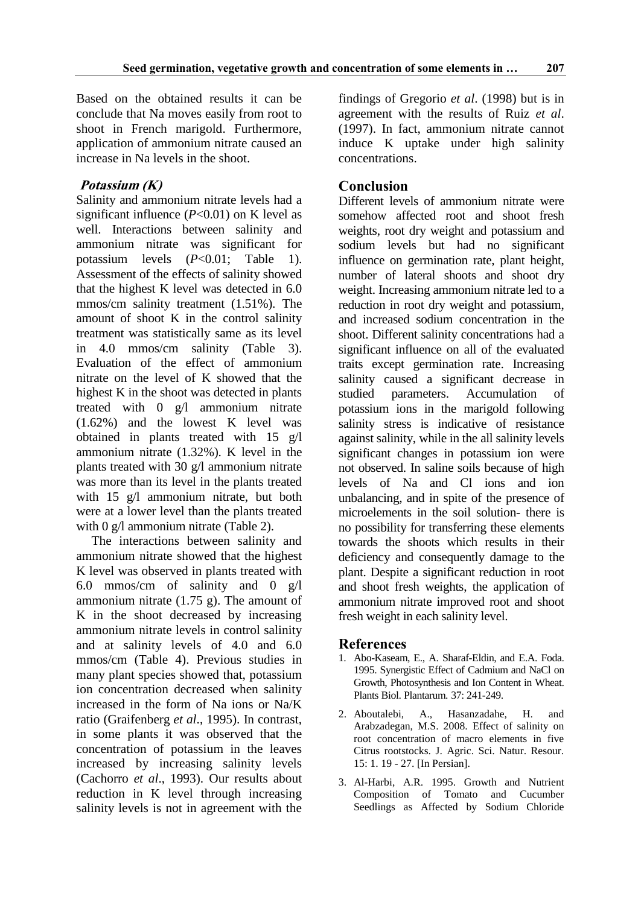Based on the obtained results it can be conclude that Na moves easily from root to shoot in French marigold. Furthermore, application of ammonium nitrate caused an increase in Na levels in the shoot.

## **Potassium (K)**

Salinity and ammonium nitrate levels had a significant influence  $(P<0.01)$  on K level as well. Interactions between salinity and ammonium nitrate was significant for potassium levels (*P*<0.01; Table 1). Assessment of the effects of salinity showed that the highest K level was detected in 6.0 mmos/cm salinity treatment (1.51%). The amount of shoot K in the control salinity treatment was statistically same as its level in 4.0 mmos/cm salinity (Table 3). Evaluation of the effect of ammonium nitrate on the level of K showed that the highest K in the shoot was detected in plants treated with 0 g/l ammonium nitrate (1.62%) and the lowest K level was obtained in plants treated with 15 g/l ammonium nitrate (1.32%). K level in the plants treated with 30 g/l ammonium nitrate was more than its level in the plants treated with 15 g/l ammonium nitrate, but both were at a lower level than the plants treated with 0 g/l ammonium nitrate (Table 2).

The interactions between salinity and ammonium nitrate showed that the highest K level was observed in plants treated with 6.0 mmos/cm of salinity and 0 g/l ammonium nitrate (1.75 g). The amount of K in the shoot decreased by increasing ammonium nitrate levels in control salinity and at salinity levels of 4.0 and 6.0 mmos/cm (Table 4). Previous studies in many plant species showed that, potassium ion concentration decreased when salinity increased in the form of Na ions or Na/K ratio (Graifenberg *et al*., 1995). In contrast, in some plants it was observed that the concentration of potassium in the leaves increased by increasing salinity levels (Cachorro *et al*., 1993). Our results about reduction in K level through increasing salinity levels is not in agreement with the

findings of Gregorio *et al*. (1998) but is in agreement with the results of Ruiz *et al*. (1997). In fact, ammonium nitrate cannot induce K uptake under high salinity concentrations.

# **Conclusion**

Different levels of ammonium nitrate were somehow affected root and shoot fresh weights, root dry weight and potassium and sodium levels but had no significant influence on germination rate, plant height, number of lateral shoots and shoot dry weight. Increasing ammonium nitrate led to a reduction in root dry weight and potassium, and increased sodium concentration in the shoot. Different salinity concentrations had a significant influence on all of the evaluated traits except germination rate. Increasing salinity caused a significant decrease in studied parameters. Accumulation of potassium ions in the marigold following salinity stress is indicative of resistance against salinity, while in the all salinity levels significant changes in potassium ion were not observed. In saline soils because of high levels of Na and Cl ions and ion unbalancing, and in spite of the presence of microelements in the soil solution- there is no possibility for transferring these elements towards the shoots which results in their deficiency and consequently damage to the plant. Despite a significant reduction in root and shoot fresh weights, the application of ammonium nitrate improved root and shoot fresh weight in each salinity level.

## **References**

- 1. Abo-Kaseam, E., A. Sharaf-Eldin, and E.A. Foda. 1995. Synergistic Effect of Cadmium and NaCl on Growth, Photosynthesis and Ion Content in Wheat. Plants Biol. Plantarum. 37: 241-249.
- 2. Aboutalebi, A., Hasanzadahe, H. and Arabzadegan, M.S. 2008. Effect of salinity on root concentration of macro elements in five Citrus rootstocks. J. Agric. Sci. Natur. Resour. 15: 1. 19 - 27. [In Persian].
- 3. Al-Harbi, A.R. 1995. Growth and Nutrient Composition of Tomato and Cucumber Seedlings as Affected by Sodium Chloride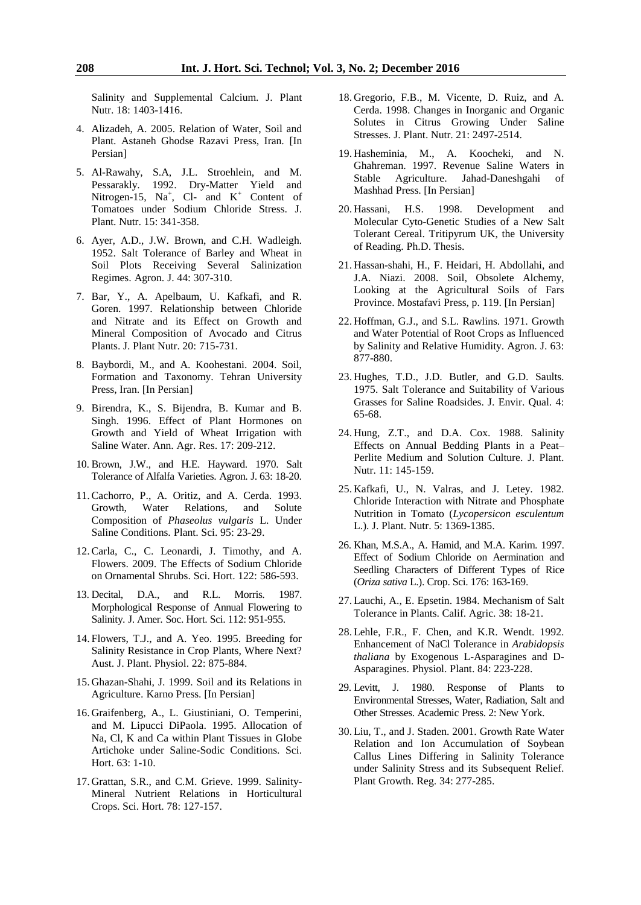Salinity and Supplemental Calcium. J. Plant Nutr. 18: 1403-1416.

- 4. Alizadeh, A. 2005. Relation of Water, Soil and Plant. Astaneh Ghodse Razavi Press, Iran. [In Persian]
- 5. Al-Rawahy, S.A, J.L. Stroehlein, and M. Pessarakly. 1992. Dry-Matter Yield and Nitrogen-15, Na<sup>+</sup>, Cl- and  $K^+$  Content of Tomatoes under Sodium Chloride Stress. J. Plant. Nutr. 15: 341-358.
- 6. Ayer, A.D., J.W. Brown, and C.H. Wadleigh. 1952. Salt Tolerance of Barley and Wheat in Soil Plots Receiving Several Salinization Regimes. Agron. J. 44: 307-310.
- 7. Bar, Y., A. Apelbaum, U. Kafkafi, and R. Goren. 1997. Relationship between Chloride and Nitrate and its Effect on Growth and Mineral Composition of Avocado and Citrus Plants. J. Plant Nutr. 20: 715-731.
- 8. Baybordi, M., and A. Koohestani. 2004. Soil, Formation and Taxonomy. Tehran University Press, Iran. [In Persian]
- 9. Birendra, K., S. Bijendra, B. Kumar and B. Singh. 1996. Effect of Plant Hormones on Growth and Yield of Wheat Irrigation with Saline Water. Ann. Agr. Res. 17: 209-212.
- 10. Brown, J.W., and H.E. Hayward. 1970. Salt Tolerance of Alfalfa Varieties. Agron. J. 63: 18-20.
- 11.Cachorro, P., A. Oritiz, and A. Cerda. 1993. Growth, Water Relations, and Solute Composition of *Phaseolus vulgaris* L. Under Saline Conditions. Plant. Sci. 95: 23-29.
- 12.Carla, C., C. Leonardi, J. Timothy, and A. Flowers. 2009. The Effects of Sodium Chloride on Ornamental Shrubs. Sci. Hort. 122: 586-593.
- 13. Decital, D.A., and R.L. Morris. 1987. Morphological Response of Annual Flowering to Salinity. J. Amer. Soc. Hort. Sci. 112: 951-955.
- 14. Flowers, T.J., and A. Yeo. 1995. Breeding for Salinity Resistance in Crop Plants, Where Next? Aust. J. Plant. Physiol. 22: 875-884.
- 15. Ghazan-Shahi, J. 1999. Soil and its Relations in Agriculture. Karno Press. [In Persian]
- 16. Graifenberg, A., L. Giustiniani, O. Temperini, and M. Lipucci DiPaola. 1995. Allocation of Na, Cl, K and Ca within Plant Tissues in Globe Artichoke under Saline-Sodic Conditions. Sci. Hort. 63: 1-10.
- 17. Grattan, S.R., and C.M. Grieve. 1999. Salinity-Mineral Nutrient Relations in Horticultural Crops. Sci. Hort. 78: 127-157.
- 18. Gregorio, F.B., M. Vicente, D. Ruiz, and A. Cerda. 1998. Changes in Inorganic and Organic Solutes in Citrus Growing Under Saline Stresses. J. Plant. Nutr. 21: 2497-2514.
- 19. Hasheminia, M., A. Koocheki, and N. Ghahreman. 1997. Revenue Saline Waters in Stable Agriculture. Jahad-Daneshgahi of Mashhad Press. [In Persian]
- 20. Hassani, H.S. 1998. Development and Molecular Cyto-Genetic Studies of a New Salt Tolerant Cereal. Tritipyrum UK, the University of Reading. Ph.D. Thesis.
- 21. Hassan-shahi, H., F. Heidari, H. Abdollahi, and J.A. Niazi. 2008. Soil, Obsolete Alchemy, Looking at the Agricultural Soils of Fars Province. Mostafavi Press, p. 119. [In Persian]
- 22. Hoffman, G.J., and S.L. Rawlins. 1971. Growth and Water Potential of Root Crops as Influenced by Salinity and Relative Humidity. Agron. J. 63: 877-880.
- 23. Hughes, T.D., J.D. Butler, and G.D. Saults. 1975. Salt Tolerance and Suitability of Various Grasses for Saline Roadsides. J. Envir. Qual. 4: 65-68.
- 24. Hung, Z.T., and D.A. Cox. 1988. Salinity Effects on Annual Bedding Plants in a Peat– Perlite Medium and Solution Culture. J. Plant. Nutr. 11: 145-159.
- 25. Kafkafi, U., N. Valras, and J. Letey. 1982. Chloride Interaction with Nitrate and Phosphate Nutrition in Tomato (*Lycopersicon esculentum* L.). J. Plant. Nutr. 5: 1369-1385.
- 26. Khan, M.S.A., A. Hamid, and M.A. Karim. 1997. Effect of Sodium Chloride on Aermination and Seedling Characters of Different Types of Rice (*Oriza sativa* L.). Crop. Sci. 176: 163-169.
- 27. Lauchi, A., E. Epsetin. 1984. Mechanism of Salt Tolerance in Plants. Calif. Agric. 38: 18-21.
- 28. Lehle, F.R., F. Chen, and K.R. Wendt. 1992. Enhancement of NaCl Tolerance in *Arabidopsis thaliana* by Exogenous L-Asparagines and D-Asparagines. Physiol. Plant. 84: 223-228.
- 29. Levitt, J. 1980. Response of Plants to Environmental Stresses, Water, Radiation, Salt and Other Stresses. Academic Press. 2: New York.
- 30. Liu, T., and J. Staden. 2001. Growth Rate Water Relation and Ion Accumulation of Soybean Callus Lines Differing in Salinity Tolerance under Salinity Stress and its Subsequent Relief. Plant Growth. Reg. 34: 277-285.